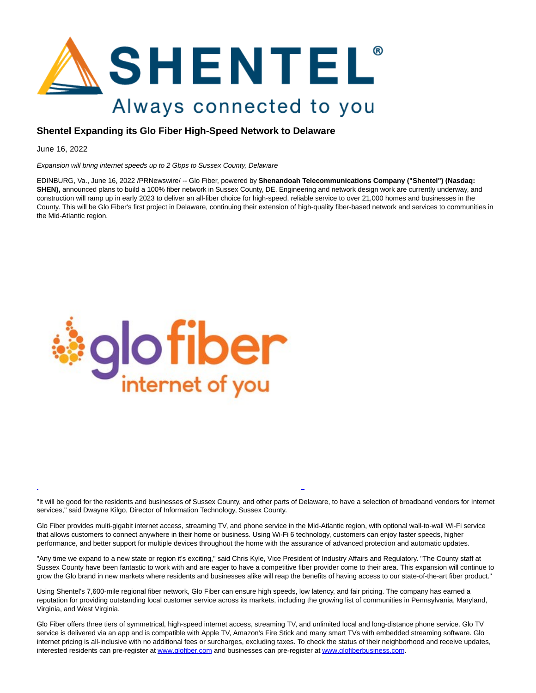

## **Shentel Expanding its Glo Fiber High-Speed Network to Delaware**

June 16, 2022

Expansion will bring internet speeds up to 2 Gbps to Sussex County, Delaware

EDINBURG, Va., June 16, 2022 /PRNewswire/ -- Glo Fiber, powered by **Shenandoah Telecommunications Company ("Shentel") (Nasdaq: SHEN)**, announced plans to build a 100% fiber network in Sussex County, DE. Engineering and network design work are currently underway, and construction will ramp up in early 2023 to deliver an all-fiber choice for high-speed, reliable service to over 21,000 homes and businesses in the County. This will be Glo Fiber's first project in Delaware, continuing their extension of high-quality fiber-based network and services to communities in the Mid-Atlantic region.



"It will be good for the residents and businesses of Sussex County, and other parts of Delaware, to have a selection of broadband vendors for Internet services," said Dwayne Kilgo, Director of Information Technology, Sussex County.

L

Glo Fiber provides multi-gigabit internet access, streaming TV, and phone service in the Mid-Atlantic region, with optional wall-to-wall Wi-Fi service that allows customers to connect anywhere in their home or business. Using Wi-Fi 6 technology, customers can enjoy faster speeds, higher performance, and better support for multiple devices throughout the home with the assurance of advanced protection and automatic updates.

"Any time we expand to a new state or region it's exciting," said Chris Kyle, Vice President of Industry Affairs and Regulatory. "The County staff at Sussex County have been fantastic to work with and are eager to have a competitive fiber provider come to their area. This expansion will continue to grow the Glo brand in new markets where residents and businesses alike will reap the benefits of having access to our state-of-the-art fiber product."

Using Shentel's 7,600-mile regional fiber network, Glo Fiber can ensure high speeds, low latency, and fair pricing. The company has earned a reputation for providing outstanding local customer service across its markets, including the growing list of communities in Pennsylvania, Maryland, Virginia, and West Virginia.

Glo Fiber offers three tiers of symmetrical, high-speed internet access, streaming TV, and unlimited local and long-distance phone service. Glo TV service is delivered via an app and is compatible with Apple TV, Amazon's Fire Stick and many smart TVs with embedded streaming software. Glo internet pricing is all-inclusive with no additional fees or surcharges, excluding taxes. To check the status of their neighborhood and receive updates, interested residents can pre-register a[t www.glofiber.com a](https://c212.net/c/link/?t=0&l=en&o=3569702-1&h=2464201783&u=http%3A%2F%2Fwww.glofiber.com%2F&a=www.glofiber.com)nd businesses can pre-register a[t www.glofiberbusiness.com.](https://c212.net/c/link/?t=0&l=en&o=3569702-1&h=2799277088&u=http%3A%2F%2Fwww.glofiberbusiness.com%2F&a=www.glofiberbusiness.com)